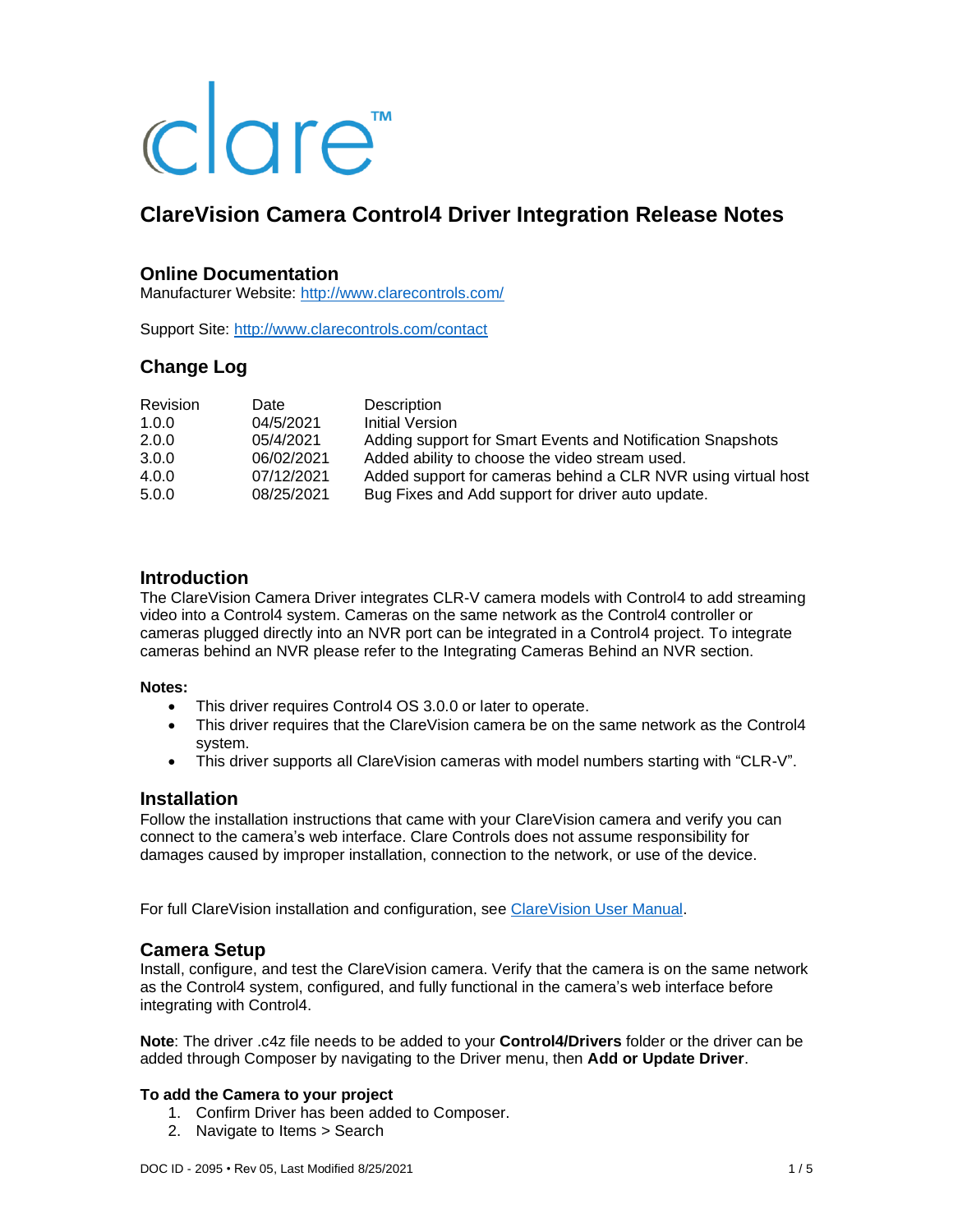# clare<sup>"</sup>

# **ClareVision Camera Control4 Driver Integration Release Notes**

# **Online Documentation**

Manufacturer Website:<http://www.clarecontrols.com/>

Support Site:<http://www.clarecontrols.com/contact>

# **Change Log**

| <b>Revision</b> | Date       | Description                                                   |
|-----------------|------------|---------------------------------------------------------------|
| 1.0.0           | 04/5/2021  | Initial Version                                               |
| 2.0.0           | 05/4/2021  | Adding support for Smart Events and Notification Snapshots    |
| 3.0.0           | 06/02/2021 | Added ability to choose the video stream used.                |
| 4.0.0           | 07/12/2021 | Added support for cameras behind a CLR NVR using virtual host |
| 5.0.0           | 08/25/2021 | Bug Fixes and Add support for driver auto update.             |

## **Introduction**

The ClareVision Camera Driver integrates CLR-V camera models with Control4 to add streaming video into a Control4 system. Cameras on the same network as the Control4 controller or cameras plugged directly into an NVR port can be integrated in a Control4 project. To integrate cameras behind an NVR please refer to the Integrating Cameras Behind an NVR section.

#### **Notes:**

- This driver requires Control4 OS 3.0.0 or later to operate.
- This driver requires that the ClareVision camera be on the same network as the Control4 system.
- This driver supports all ClareVision cameras with model numbers starting with "CLR-V".

#### **Installation**

Follow the installation instructions that came with your ClareVision camera and verify you can connect to the camera's web interface. Clare Controls does not assume responsibility for damages caused by improper installation, connection to the network, or use of the device.

For full ClareVision installation and configuration, see ClareVision [User Manual.](https://www.clarecontrols.com/en/helpcenter/clarevision-cameras-user-manual)

#### **Camera Setup**

Install, configure, and test the ClareVision camera. Verify that the camera is on the same network as the Control4 system, configured, and fully functional in the camera's web interface before integrating with Control4.

**Note**: The driver .c4z file needs to be added to your **Control4/Drivers** folder or the driver can be added through Composer by navigating to the Driver menu, then **Add or Update Driver**.

#### **To add the Camera to your project**

- 1. Confirm Driver has been added to Composer.
- 2. Navigate to Items > Search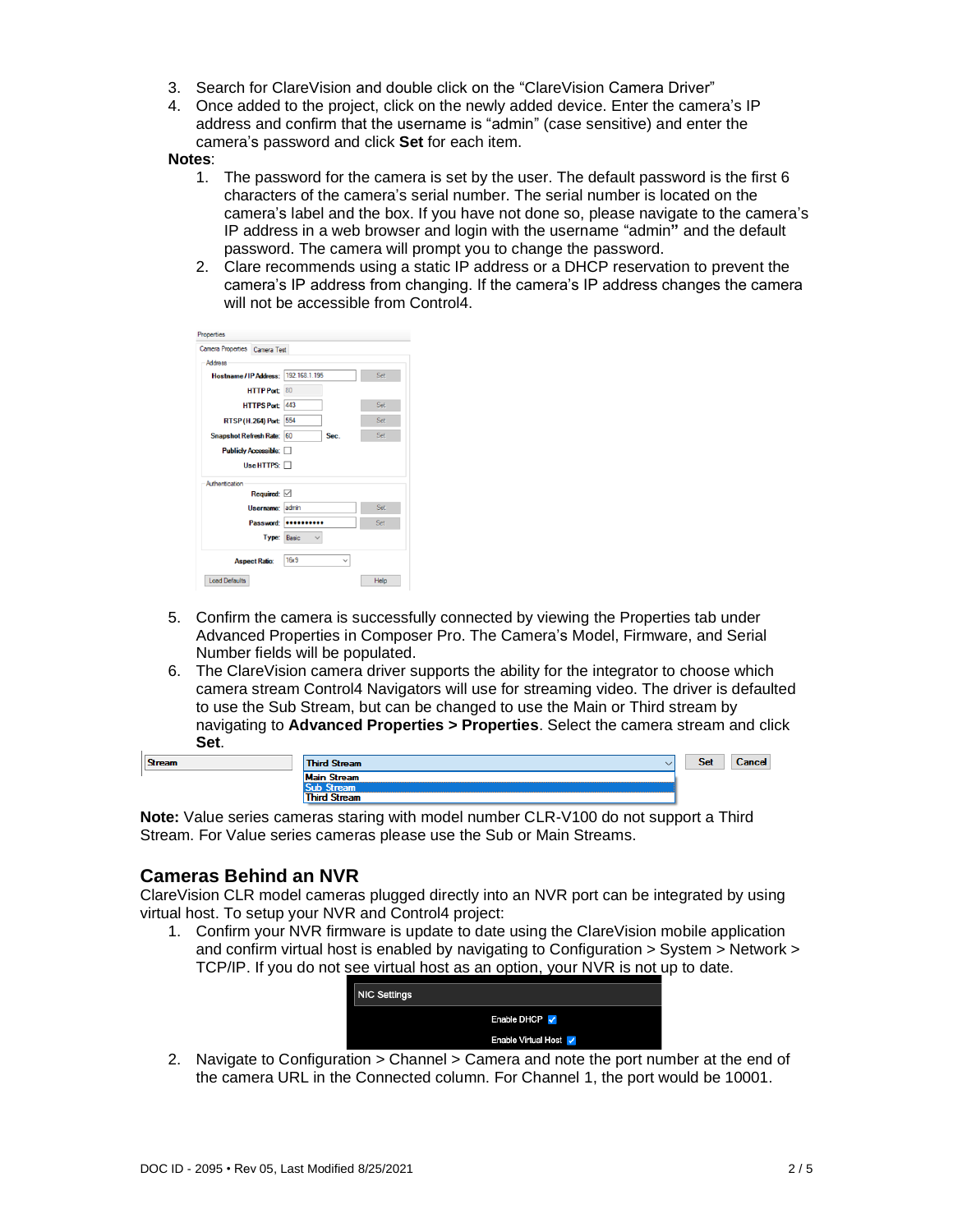- 3. Search for ClareVision and double click on the "ClareVision Camera Driver"
- 4. Once added to the project, click on the newly added device. Enter the camera's IP address and confirm that the username is "admin" (case sensitive) and enter the camera's password and click **Set** for each item.

#### **Notes**:

- 1. The password for the camera is set by the user. The default password is the first 6 characters of the camera's serial number. The serial number is located on the camera's label and the box. If you have not done so, please navigate to the camera's IP address in a web browser and login with the username "admin**"** and the default password. The camera will prompt you to change the password.
- 2. Clare recommends using a static IP address or a DHCP reservation to prevent the camera's IP address from changing. If the camera's IP address changes the camera will not be accessible from Control4.

| Properties                             |                             |      |
|----------------------------------------|-----------------------------|------|
| Camera Properties Camera Test          |                             |      |
| <b>Address</b>                         |                             |      |
| Hostname / IP Address:   192.168.1.195 |                             | Set  |
| HTTPPort 80                            |                             |      |
| HTTPS Port 443                         |                             | Set  |
| RTSP (H.264) Port 554                  |                             | Set  |
| Snapshot Refresh Rate: 60              | Sec.                        | Set  |
| <b>Publicly Accessible:</b>            |                             |      |
| Use HTTPS: $\Box$                      |                             |      |
| Authentication                         |                             |      |
| Required: $\boxtimes$                  |                             |      |
| Username: admin                        |                             | Set  |
|                                        | Password: <b>**********</b> | Set  |
| Type: Basic                            |                             |      |
| <b>Aspect Ratio:</b>                   | 16x9                        |      |
| Load Defaults                          |                             | Help |

- 5. Confirm the camera is successfully connected by viewing the Properties tab under Advanced Properties in Composer Pro. The Camera's Model, Firmware, and Serial Number fields will be populated.
- 6. The ClareVision camera driver supports the ability for the integrator to choose which camera stream Control4 Navigators will use for streaming video. The driver is defaulted to use the Sub Stream, but can be changed to use the Main or Third stream by navigating to **Advanced Properties > Properties**. Select the camera stream and click **Set**.

| <b>Stream</b> | <b>Third Stream</b><br>v | <b>Set</b> | <b>Cancel</b> |
|---------------|--------------------------|------------|---------------|
|               | <b>Main Stream</b>       |            |               |
|               | -----                    |            |               |
|               | <b>Third Stream</b>      |            |               |

**Note:** Value series cameras staring with model number CLR-V100 do not support a Third Stream. For Value series cameras please use the Sub or Main Streams.

# **Cameras Behind an NVR**

ClareVision CLR model cameras plugged directly into an NVR port can be integrated by using virtual host. To setup your NVR and Control4 project:

1. Confirm your NVR firmware is update to date using the ClareVision mobile application and confirm virtual host is enabled by navigating to Configuration > System > Network > TCP/IP. If you do not see virtual host as an option, your NVR is not up to date.

|                     | __                  |
|---------------------|---------------------|
| <b>NIC Settings</b> |                     |
|                     | Enable DHCP V       |
|                     | Enable Virtual Host |

2. Navigate to Configuration > Channel > Camera and note the port number at the end of the camera URL in the Connected column. For Channel 1, the port would be 10001.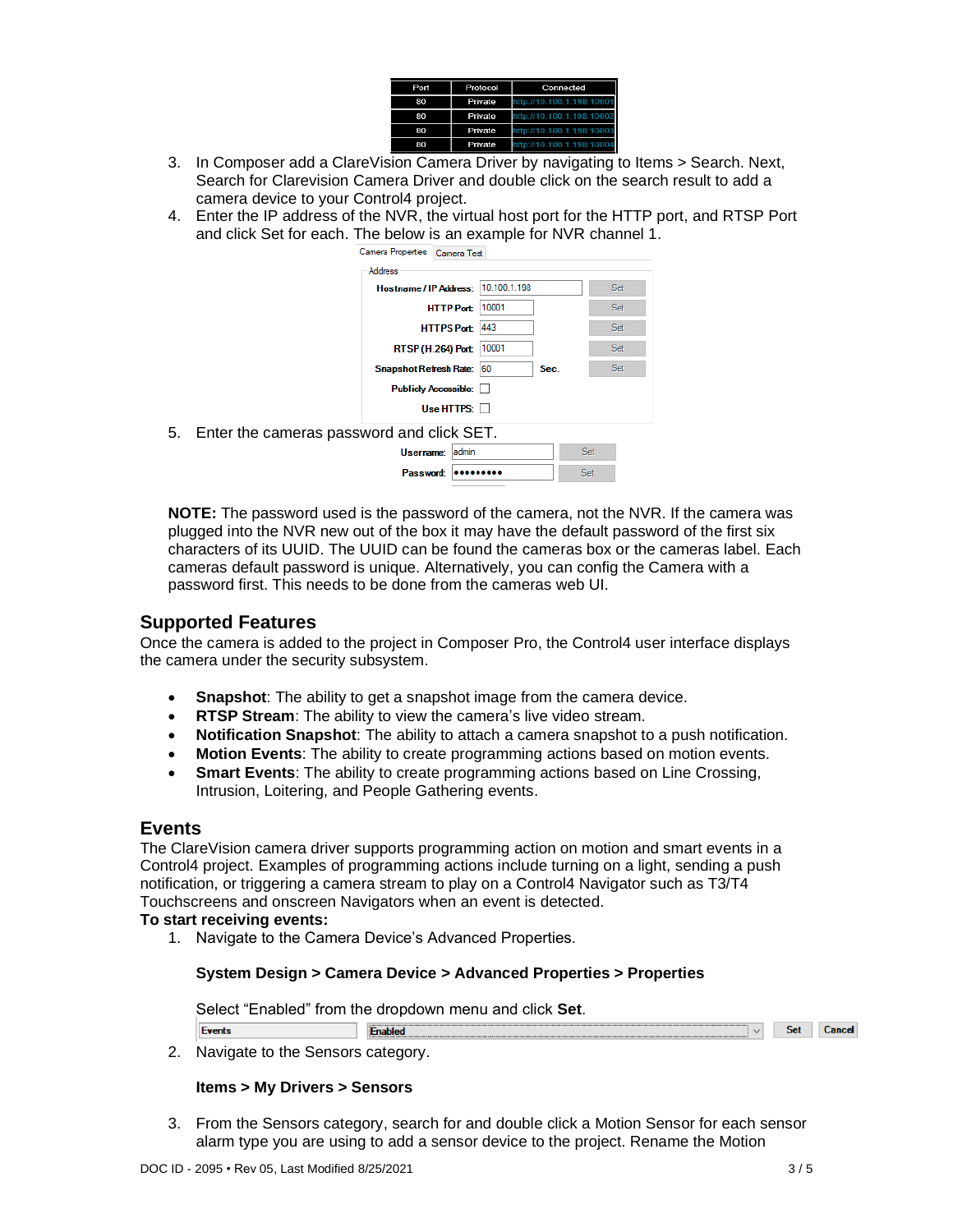| Port | Protocol | Connected                 |
|------|----------|---------------------------|
| 80   | Private  | http://10.100.1.198:10001 |
| 80   | Private  | http://10.100.1.198:10002 |
| 80   | Private  | http://10.100.1.198:10003 |
| 80   | Private  | http://10.100.1.198:10004 |

- 3. In Composer add a ClareVision Camera Driver by navigating to Items > Search. Next, Search for Clarevision Camera Driver and double click on the search result to add a camera device to your Control4 project.
- 4. Enter the IP address of the NVR, the virtual host port for the HTTP port, and RTSP Port and click Set for each. The below is an example for NVR channel 1.



**NOTE:** The password used is the password of the camera, not the NVR. If the camera was plugged into the NVR new out of the box it may have the default password of the first six characters of its UUID. The UUID can be found the cameras box or the cameras label. Each cameras default password is unique. Alternatively, you can config the Camera with a password first. This needs to be done from the cameras web UI.

# **Supported Features**

Once the camera is added to the project in Composer Pro, the Control4 user interface displays the camera under the security subsystem.

- **Snapshot:** The ability to get a snapshot image from the camera device.
- **RTSP Stream**: The ability to view the camera's live video stream.
- **Notification Snapshot**: The ability to attach a camera snapshot to a push notification.
- **Motion Events**: The ability to create programming actions based on motion events.
- **Smart Events**: The ability to create programming actions based on Line Crossing, Intrusion, Loitering, and People Gathering events.

#### **Events**

The ClareVision camera driver supports programming action on motion and smart events in a Control4 project. Examples of programming actions include turning on a light, sending a push notification, or triggering a camera stream to play on a Control4 Navigator such as T3/T4 Touchscreens and onscreen Navigators when an event is detected.

#### **To start receiving events:**

**Events** 

1. Navigate to the Camera Device's Advanced Properties.

#### **System Design > Camera Device > Advanced Properties > Properties**

Select "Enabled" from the dropdown menu and click **Set**.

Enabled Set Cancel

2. Navigate to the Sensors category.

#### **Items > My Drivers > Sensors**

3. From the Sensors category, search for and double click a Motion Sensor for each sensor alarm type you are using to add a sensor device to the project. Rename the Motion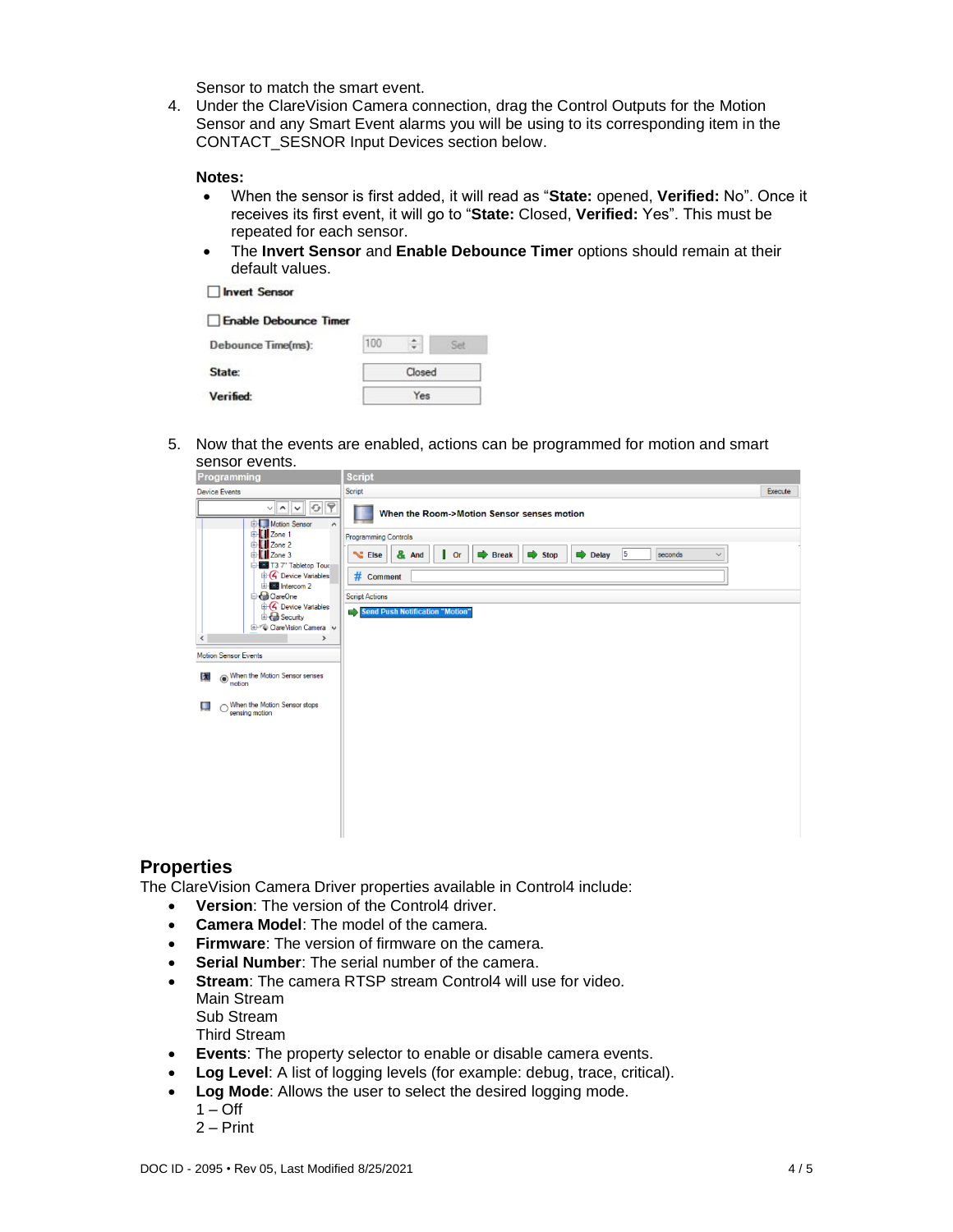Sensor to match the smart event.

4. Under the ClareVision Camera connection, drag the Control Outputs for the Motion Sensor and any Smart Event alarms you will be using to its corresponding item in the CONTACT\_SESNOR Input Devices section below.

#### **Notes:**

- When the sensor is first added, it will read as "**State:** opened, **Verified:** No". Once it receives its first event, it will go to "**State:** Closed, **Verified:** Yes". This must be repeated for each sensor.
- The **Invert Sensor** and **Enable Debounce Timer** options should remain at their default values.

Invert Sensor

| Enable Debounce Timer |     |        |  |
|-----------------------|-----|--------|--|
| Debounce Time(ms):    | 100 |        |  |
| State:                |     | Closed |  |
| Verified:             |     | Yes    |  |

5. Now that the events are enabled, actions can be programmed for motion and smart sensor events.

| Programming                                                                           | <b>Script</b>                                                                                                                                      |         |
|---------------------------------------------------------------------------------------|----------------------------------------------------------------------------------------------------------------------------------------------------|---------|
| <b>Device Events</b>                                                                  | Script                                                                                                                                             | Execute |
| $G$ ?<br>$\sim$ $\sim$ $\mid$<br>$\checkmark$<br>Motion Sensor<br>$\hat{\phantom{a}}$ | When the Room->Motion Sensor senses motion<br>в                                                                                                    |         |
| DI Zone 1                                                                             | <b>Programming Controls</b>                                                                                                                        |         |
| <b>E-El Zone 2</b><br><b>D</b> III Zone 3<br>T3 7" Tabletop Tour                      | 5<br>& And<br>$\overline{\phantom{a}}$ Or<br>$\Rightarrow$ Delay<br><b>N</b> Else<br><b>Break</b><br>$\Rightarrow$ Stop<br>seconds<br>$\checkmark$ |         |
| <b>E</b> Device Variables<br><b>E-25</b> Intercom 2                                   | # Comment                                                                                                                                          |         |
| <b>B</b> ClareOne                                                                     | <b>Script Actions</b>                                                                                                                              |         |
| <sup>th</sup> C Device Variables<br><b>B</b> Security                                 | Send Push Notification "Motion"                                                                                                                    |         |
| <b>E-7</b> Clare Vision Camera v                                                      |                                                                                                                                                    |         |
| $\,$<br>$\checkmark$                                                                  |                                                                                                                                                    |         |
| <b>Motion Sensor Events</b>                                                           |                                                                                                                                                    |         |
| ◉ When the Motion Sensor senses<br>Ŀ.<br>motion                                       |                                                                                                                                                    |         |
| When the Motion Sensor stops<br>ш<br>sensing motion                                   |                                                                                                                                                    |         |
|                                                                                       |                                                                                                                                                    |         |
|                                                                                       |                                                                                                                                                    |         |
|                                                                                       |                                                                                                                                                    |         |
|                                                                                       |                                                                                                                                                    |         |
|                                                                                       |                                                                                                                                                    |         |
|                                                                                       |                                                                                                                                                    |         |
|                                                                                       |                                                                                                                                                    |         |
|                                                                                       |                                                                                                                                                    |         |

#### **Properties**

The ClareVision Camera Driver properties available in Control4 include:

- **Version**: The version of the Control4 driver.
- **Camera Model**: The model of the camera.
- **Firmware**: The version of firmware on the camera.
- **Serial Number**: The serial number of the camera.
- **Stream**: The camera RTSP stream Control4 will use for video. Main Stream Sub Stream Third Stream
- **Events**: The property selector to enable or disable camera events.
- **Log Level:** A list of logging levels (for example: debug, trace, critical).
- **Log Mode**: Allows the user to select the desired logging mode.
	- $1 \text{Off}$
	- 2 Print